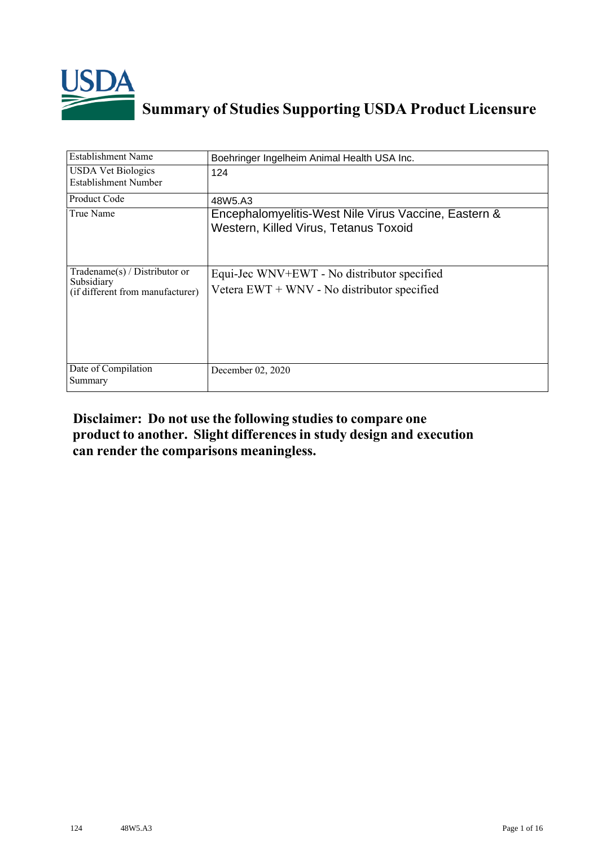

## **Summary of Studies Supporting USDA Product Licensure**

| <b>Establishment Name</b>                                                         | Boehringer Ingelheim Animal Health USA Inc.                                                   |
|-----------------------------------------------------------------------------------|-----------------------------------------------------------------------------------------------|
| <b>USDA Vet Biologics</b><br>Establishment Number                                 | 124                                                                                           |
| Product Code                                                                      | 48W5.A3                                                                                       |
| True Name                                                                         | Encephalomyelitis-West Nile Virus Vaccine, Eastern &<br>Western, Killed Virus, Tetanus Toxoid |
| $Tradename(s) / Distributor$ or<br>Subsidiary<br>(if different from manufacturer) | Equi-Jec WNV+EWT - No distributor specified<br>Vetera EWT + WNV - No distributor specified    |
| Date of Compilation<br>Summary                                                    | December 02, 2020                                                                             |

## **Disclaimer: Do not use the following studiesto compare one product to another. Slight differencesin study design and execution can render the comparisons meaningless.**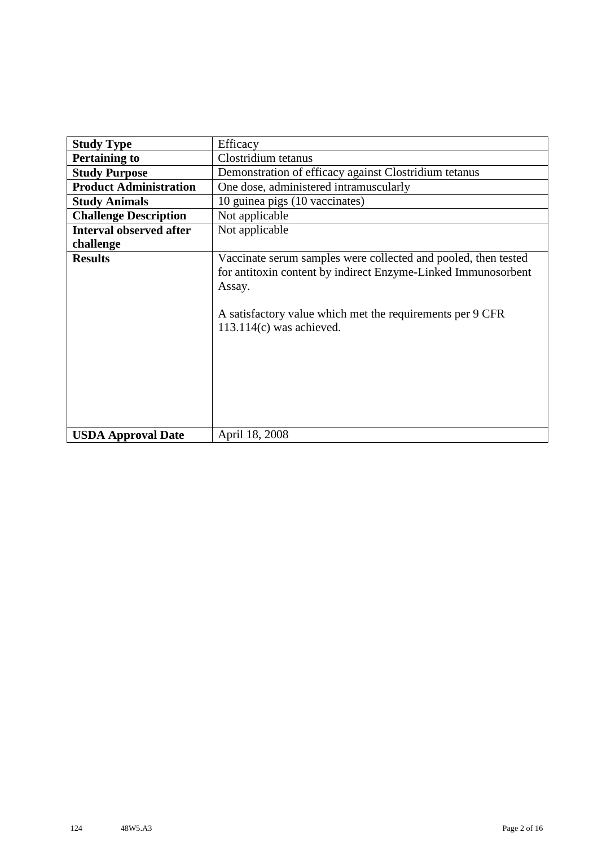| <b>Study Type</b>              | Efficacy                                                                                                                                                                                                                             |
|--------------------------------|--------------------------------------------------------------------------------------------------------------------------------------------------------------------------------------------------------------------------------------|
| <b>Pertaining to</b>           | Clostridium tetanus                                                                                                                                                                                                                  |
| <b>Study Purpose</b>           | Demonstration of efficacy against Clostridium tetanus                                                                                                                                                                                |
| <b>Product Administration</b>  | One dose, administered intramuscularly                                                                                                                                                                                               |
| <b>Study Animals</b>           | 10 guinea pigs (10 vaccinates)                                                                                                                                                                                                       |
| <b>Challenge Description</b>   | Not applicable                                                                                                                                                                                                                       |
| <b>Interval observed after</b> | Not applicable                                                                                                                                                                                                                       |
| challenge                      |                                                                                                                                                                                                                                      |
| <b>Results</b>                 | Vaccinate serum samples were collected and pooled, then tested<br>for antitoxin content by indirect Enzyme-Linked Immunosorbent<br>Assay.<br>A satisfactory value which met the requirements per 9 CFR<br>$113.114(c)$ was achieved. |
| <b>USDA Approval Date</b>      | April 18, 2008                                                                                                                                                                                                                       |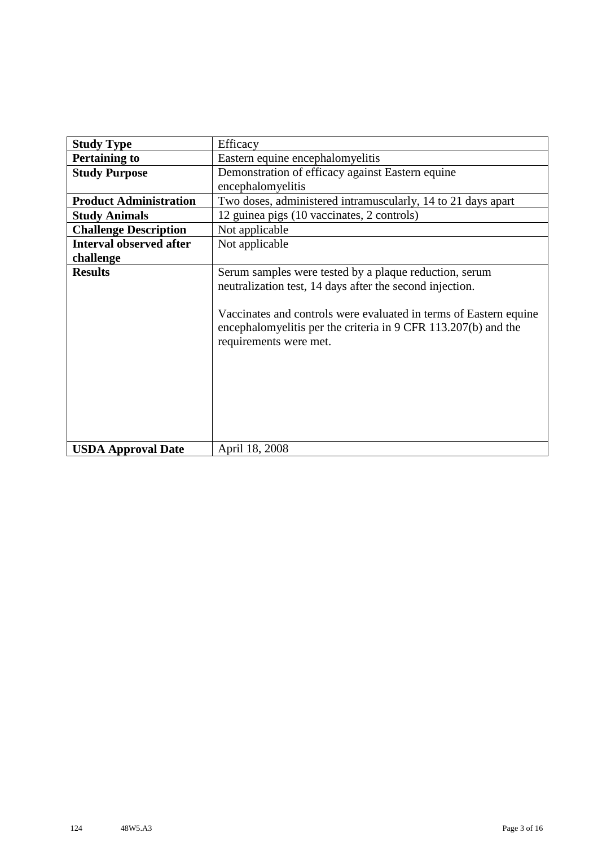| <b>Study Type</b>              | Efficacy                                                                                                                                                                                                                                                                            |
|--------------------------------|-------------------------------------------------------------------------------------------------------------------------------------------------------------------------------------------------------------------------------------------------------------------------------------|
| <b>Pertaining to</b>           | Eastern equine encephalomyelitis                                                                                                                                                                                                                                                    |
| <b>Study Purpose</b>           | Demonstration of efficacy against Eastern equine                                                                                                                                                                                                                                    |
|                                | encephalomyelitis                                                                                                                                                                                                                                                                   |
| <b>Product Administration</b>  | Two doses, administered intramuscularly, 14 to 21 days apart                                                                                                                                                                                                                        |
| <b>Study Animals</b>           | 12 guinea pigs (10 vaccinates, 2 controls)                                                                                                                                                                                                                                          |
| <b>Challenge Description</b>   | Not applicable                                                                                                                                                                                                                                                                      |
| <b>Interval observed after</b> | Not applicable                                                                                                                                                                                                                                                                      |
| challenge                      |                                                                                                                                                                                                                                                                                     |
| <b>Results</b>                 | Serum samples were tested by a plaque reduction, serum<br>neutralization test, 14 days after the second injection.<br>Vaccinates and controls were evaluated in terms of Eastern equine<br>encephalomyelitis per the criteria in 9 CFR 113.207(b) and the<br>requirements were met. |
| <b>USDA Approval Date</b>      | April 18, 2008                                                                                                                                                                                                                                                                      |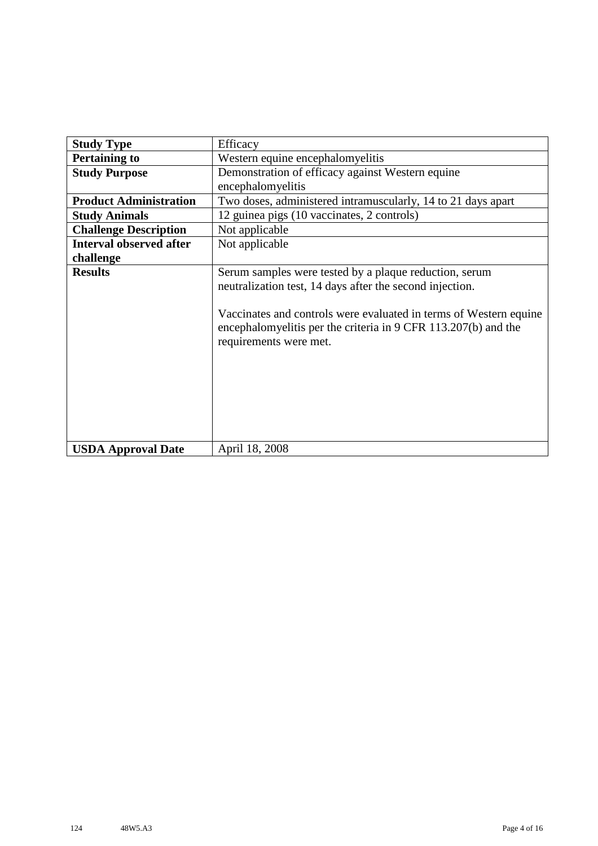| <b>Study Type</b>              | Efficacy                                                                                                                                                                                                                                                                            |
|--------------------------------|-------------------------------------------------------------------------------------------------------------------------------------------------------------------------------------------------------------------------------------------------------------------------------------|
| <b>Pertaining to</b>           | Western equine encephalomyelitis                                                                                                                                                                                                                                                    |
| <b>Study Purpose</b>           | Demonstration of efficacy against Western equine                                                                                                                                                                                                                                    |
|                                | encephalomyelitis                                                                                                                                                                                                                                                                   |
| <b>Product Administration</b>  | Two doses, administered intramuscularly, 14 to 21 days apart                                                                                                                                                                                                                        |
| <b>Study Animals</b>           | 12 guinea pigs (10 vaccinates, 2 controls)                                                                                                                                                                                                                                          |
| <b>Challenge Description</b>   | Not applicable                                                                                                                                                                                                                                                                      |
| <b>Interval observed after</b> | Not applicable                                                                                                                                                                                                                                                                      |
| challenge                      |                                                                                                                                                                                                                                                                                     |
| <b>Results</b>                 | Serum samples were tested by a plaque reduction, serum<br>neutralization test, 14 days after the second injection.<br>Vaccinates and controls were evaluated in terms of Western equine<br>encephalomyelitis per the criteria in 9 CFR 113.207(b) and the<br>requirements were met. |
| <b>USDA Approval Date</b>      | April 18, 2008                                                                                                                                                                                                                                                                      |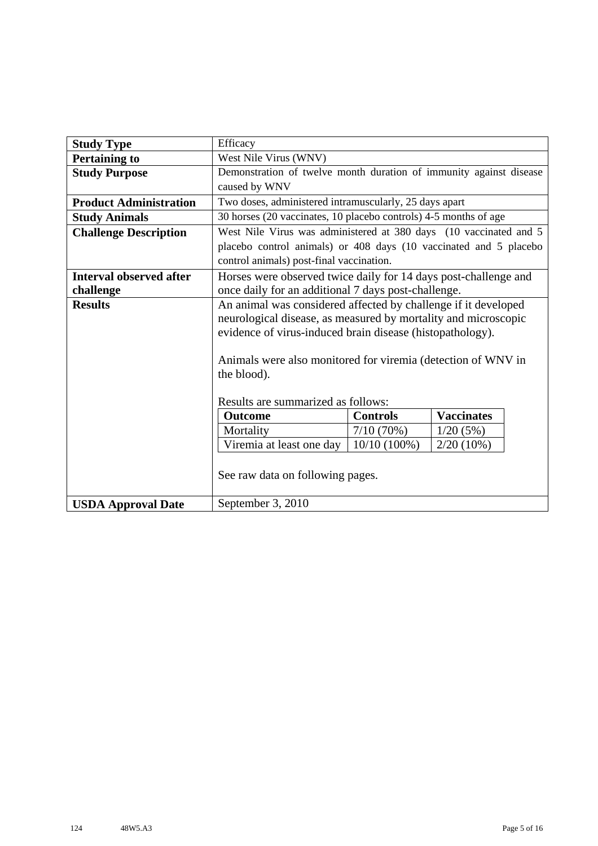| <b>Study Type</b>              | Efficacy                                                                            |                 |                   |  |
|--------------------------------|-------------------------------------------------------------------------------------|-----------------|-------------------|--|
| <b>Pertaining to</b>           | West Nile Virus (WNV)                                                               |                 |                   |  |
| <b>Study Purpose</b>           | Demonstration of twelve month duration of immunity against disease<br>caused by WNV |                 |                   |  |
| <b>Product Administration</b>  | Two doses, administered intramuscularly, 25 days apart                              |                 |                   |  |
| <b>Study Animals</b>           | 30 horses (20 vaccinates, 10 placebo controls) 4-5 months of age                    |                 |                   |  |
| <b>Challenge Description</b>   | West Nile Virus was administered at 380 days (10 vaccinated and 5                   |                 |                   |  |
|                                | placebo control animals) or 408 days (10 vaccinated and 5 placebo                   |                 |                   |  |
|                                | control animals) post-final vaccination.                                            |                 |                   |  |
| <b>Interval observed after</b> | Horses were observed twice daily for 14 days post-challenge and                     |                 |                   |  |
| challenge                      | once daily for an additional 7 days post-challenge.                                 |                 |                   |  |
| <b>Results</b>                 | An animal was considered affected by challenge if it developed                      |                 |                   |  |
|                                | neurological disease, as measured by mortality and microscopic                      |                 |                   |  |
|                                | evidence of virus-induced brain disease (histopathology).                           |                 |                   |  |
|                                |                                                                                     |                 |                   |  |
|                                | Animals were also monitored for viremia (detection of WNV in                        |                 |                   |  |
|                                | the blood).                                                                         |                 |                   |  |
|                                |                                                                                     |                 |                   |  |
|                                | Results are summarized as follows:                                                  |                 |                   |  |
|                                | <b>Outcome</b>                                                                      | <b>Controls</b> | <b>Vaccinates</b> |  |
|                                | Mortality                                                                           | 7/10(70%)       | 1/20(5%)          |  |
|                                | Viremia at least one day                                                            | $10/10(100\%)$  | $2/20(10\%)$      |  |
|                                |                                                                                     |                 |                   |  |
|                                | See raw data on following pages.                                                    |                 |                   |  |
|                                |                                                                                     |                 |                   |  |
| <b>USDA Approval Date</b>      | September 3, 2010                                                                   |                 |                   |  |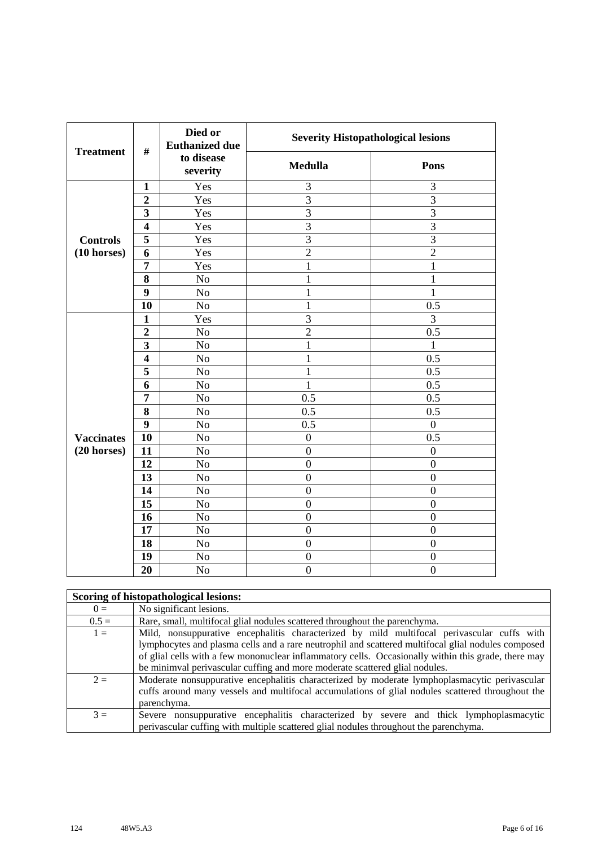| <b>Treatment</b>      | $\#$                    | Died or<br><b>Euthanized due</b> | <b>Severity Histopathological lesions</b> |                  |
|-----------------------|-------------------------|----------------------------------|-------------------------------------------|------------------|
|                       |                         | to disease<br>severity           | <b>Medulla</b>                            | Pons             |
|                       | $\mathbf{1}$            | Yes                              | 3                                         | 3                |
|                       | $\overline{2}$          | Yes                              | $\overline{3}$                            | 3                |
|                       | 3                       | Yes                              | $\overline{3}$                            | $\overline{3}$   |
|                       | $\overline{\mathbf{4}}$ | Yes                              | $\overline{3}$                            | 3                |
| <b>Controls</b>       | 5                       | Yes                              | 3                                         | $\overline{3}$   |
| $(10 \text{ horses})$ | 6                       | Yes                              | $\overline{2}$                            | $\overline{2}$   |
|                       | $\overline{7}$          | Yes                              | $\mathbf{1}$                              | $\mathbf{1}$     |
|                       | 8                       | No                               | $\mathbf{1}$                              | $\mathbf 1$      |
|                       | 9                       | No                               | $\mathbf{1}$                              | $\mathbf{1}$     |
|                       | 10                      | No                               | $\mathbf{1}$                              | 0.5              |
|                       | $\mathbf{1}$            | Yes                              | $\overline{3}$                            | 3                |
|                       | $\overline{2}$          | No                               | $\overline{2}$                            | 0.5              |
|                       | 3                       | No                               | $\mathbf{1}$                              | 1                |
|                       | $\overline{\mathbf{4}}$ | No                               | $\mathbf{1}$                              | 0.5              |
|                       | 5                       | No                               | $\mathbf{1}$                              | 0.5              |
|                       | 6                       | N <sub>o</sub>                   | $\mathbf{1}$                              | 0.5              |
|                       | 7                       | No                               | 0.5                                       | 0.5              |
|                       | 8                       | No                               | 0.5                                       | 0.5              |
|                       | 9                       | N <sub>o</sub>                   | 0.5                                       | $\boldsymbol{0}$ |
| <b>Vaccinates</b>     | 10                      | No                               | $\boldsymbol{0}$                          | $\overline{0.5}$ |
| $(20$ horses)         | 11                      | N <sub>o</sub>                   | $\overline{0}$                            | $\boldsymbol{0}$ |
|                       | 12                      | N <sub>o</sub>                   | $\boldsymbol{0}$                          | $\boldsymbol{0}$ |
|                       | 13                      | No                               | $\overline{0}$                            | $\boldsymbol{0}$ |
|                       | 14                      | N <sub>o</sub>                   | $\overline{0}$                            | $\overline{0}$   |
|                       | 15                      | No                               | $\overline{0}$                            | $\overline{0}$   |
|                       | 16                      | No                               | $\boldsymbol{0}$                          | $\boldsymbol{0}$ |
|                       | 17                      | No                               | $\overline{0}$                            | $\overline{0}$   |
|                       | 18                      | No                               | $\boldsymbol{0}$                          | $\boldsymbol{0}$ |
|                       | 19                      | No                               | $\boldsymbol{0}$                          | $\boldsymbol{0}$ |
|                       | 20                      | N <sub>o</sub>                   | $\overline{0}$                            | $\overline{0}$   |

|         | Scoring of histopathological lesions:                                                                                                                                                                                                                                                                                                                                                  |
|---------|----------------------------------------------------------------------------------------------------------------------------------------------------------------------------------------------------------------------------------------------------------------------------------------------------------------------------------------------------------------------------------------|
| $0 =$   | No significant lesions.                                                                                                                                                                                                                                                                                                                                                                |
| $0.5 =$ | Rare, small, multifocal glial nodules scattered throughout the parenchyma.                                                                                                                                                                                                                                                                                                             |
| $1 =$   | Mild, nonsuppurative encephalitis characterized by mild multifocal perivascular cuffs with<br>lymphocytes and plasma cells and a rare neutrophil and scattered multifocal glial nodules composed<br>of glial cells with a few mononuclear inflammatory cells. Occasionally within this grade, there may<br>be minimval perivascular cuffing and more moderate scattered glial nodules. |
| $2 =$   | Moderate nonsuppurative encephalitis characterized by moderate lymphoplasmacytic perivascular<br>cuffs around many vessels and multifocal accumulations of glial nodules scattered throughout the<br>parenchyma.                                                                                                                                                                       |
| $3 =$   | Severe nonsuppurative encephalitis characterized by severe and thick lymphoplasmacytic<br>perivalent parameters with multiple scattered glial nodules throughout the parenchyma.                                                                                                                                                                                                       |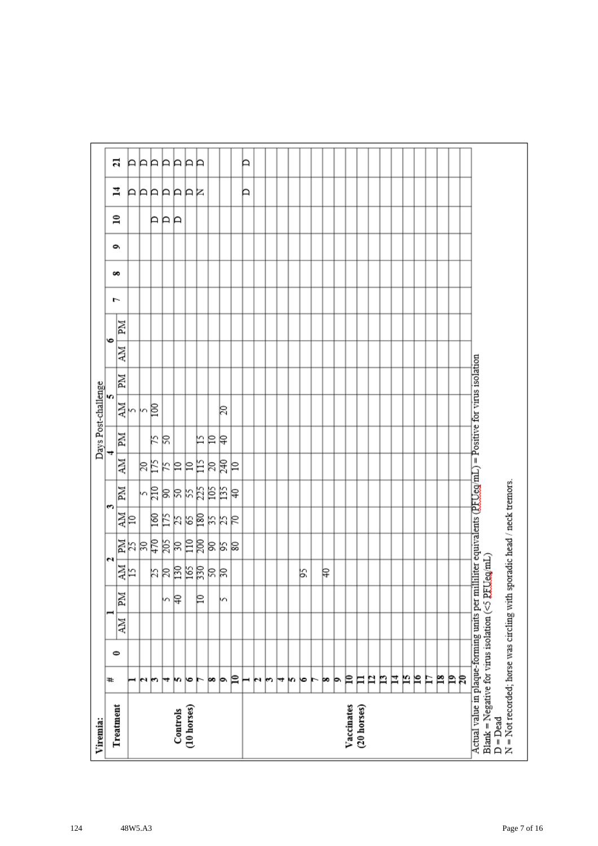| Viremia:                                                                                                                                                                           |    |           |    |    |         |            |      |       |    |    | Days Post-challenge |    |           |    |   |   |   |              |         |    |
|------------------------------------------------------------------------------------------------------------------------------------------------------------------------------------|----|-----------|----|----|---------|------------|------|-------|----|----|---------------------|----|-----------|----|---|---|---|--------------|---------|----|
| Treatment                                                                                                                                                                          | ₩  | $\bullet$ |    |    |         | N          | S    |       |    |    | m                   |    | $\bullet$ |    | ŀ | ő | é | $\mathbf{r}$ | 4       | ដ  |
|                                                                                                                                                                                    |    |           | NИ | Md | 하       |            | 화    | Md    | ÄМ | MI | 하                   | ZМ | NИ        | Иď |   |   |   |              |         |    |
|                                                                                                                                                                                    | ⊣  |           |    |    |         |            |      |       |    |    |                     |    |           |    |   |   |   |              |         | A  |
|                                                                                                                                                                                    | юı |           |    |    |         |            |      |       | βĘ |    | kβ                  |    |           |    |   |   |   |              |         | ÞÞ |
|                                                                                                                                                                                    | m  |           |    |    |         |            |      |       |    | k  |                     |    |           |    |   |   |   | ÞР           |         |    |
|                                                                                                                                                                                    | ₩  |           |    | m  |         |            |      |       | K  | R  |                     |    |           |    |   |   |   |              |         | Þ  |
| Controls                                                                                                                                                                           | m  |           |    | β  | 부치려의덕려석 | 11 리치영국체여동 | 회의검질 | 여여처처터 | 의의 |    |                     |    |           |    |   |   |   | Þ            | AAAAAAR | Þ  |
| (10 horses)                                                                                                                                                                        | ∣७ |           |    |    |         |            |      |       |    |    |                     |    |           |    |   |   |   |              |         | P  |
|                                                                                                                                                                                    |    |           |    | ₽  |         |            |      |       | 旨  | 匕  |                     |    |           |    |   |   |   |              |         | P  |
|                                                                                                                                                                                    | œ  |           |    |    |         |            |      |       | R  | ₽  |                     |    |           |    |   |   |   |              |         |    |
|                                                                                                                                                                                    | þ. |           |    | h  |         | 의직의        | おおは  | 부점력   | 尾  | ₽  | 20                  |    |           |    |   |   |   |              |         |    |
|                                                                                                                                                                                    | P  |           |    |    |         |            |      |       | ₽  |    |                     |    |           |    |   |   |   |              |         |    |
|                                                                                                                                                                                    | ⊢  |           |    |    |         |            |      |       |    |    |                     |    |           |    |   |   |   |              | Þ       | Þ  |
|                                                                                                                                                                                    | N  |           |    |    |         |            |      |       |    |    |                     |    |           |    |   |   |   |              |         |    |
|                                                                                                                                                                                    | r  |           |    |    |         |            |      |       |    |    |                     |    |           |    |   |   |   |              |         |    |
|                                                                                                                                                                                    | ↣  |           |    |    |         |            |      |       |    |    |                     |    |           |    |   |   |   |              |         |    |
|                                                                                                                                                                                    | m  |           |    |    |         |            |      |       |    |    |                     |    |           |    |   |   |   |              |         |    |
|                                                                                                                                                                                    | ю  |           |    |    | βŚ,     |            |      |       |    |    |                     |    |           |    |   |   |   |              |         |    |
|                                                                                                                                                                                    | ►  |           |    |    |         |            |      |       |    |    |                     |    |           |    |   |   |   |              |         |    |
|                                                                                                                                                                                    | þo |           |    |    | ₽       |            |      |       |    |    |                     |    |           |    |   |   |   |              |         |    |
|                                                                                                                                                                                    | Þ  |           |    |    |         |            |      |       |    |    |                     |    |           |    |   |   |   |              |         |    |
| Vaccinates                                                                                                                                                                         | ₽  |           |    |    |         |            |      |       |    |    |                     |    |           |    |   |   |   |              |         |    |
| (20 horses)                                                                                                                                                                        | Ħ  |           |    |    |         |            |      |       |    |    |                     |    |           |    |   |   |   |              |         |    |
|                                                                                                                                                                                    | P  |           |    |    |         |            |      |       |    |    |                     |    |           |    |   |   |   |              |         |    |
|                                                                                                                                                                                    | n  |           |    |    |         |            |      |       |    |    |                     |    |           |    |   |   |   |              |         |    |
|                                                                                                                                                                                    | Ħ  |           |    |    |         |            |      |       |    |    |                     |    |           |    |   |   |   |              |         |    |
|                                                                                                                                                                                    | N  |           |    |    |         |            |      |       |    |    |                     |    |           |    |   |   |   |              |         |    |
|                                                                                                                                                                                    | ρ  |           |    |    |         |            |      |       |    |    |                     |    |           |    |   |   |   |              |         |    |
|                                                                                                                                                                                    | Ħ  |           |    |    |         |            |      |       |    |    |                     |    |           |    |   |   |   |              |         |    |
|                                                                                                                                                                                    | p  |           |    |    |         |            |      |       |    |    |                     |    |           |    |   |   |   |              |         |    |
|                                                                                                                                                                                    | Þ  |           |    |    |         |            |      |       |    |    |                     |    |           |    |   |   |   |              |         |    |
|                                                                                                                                                                                    | R  |           |    |    |         |            |      |       |    |    |                     |    |           |    |   |   |   |              |         |    |
| Actual value in plaque-forming units per milliliter equivalents (PFUeg/mL) = Positive for virus isolation<br>Blank = Negative for virus isolation ( $\leq$ PEUeg/mL)<br>$D = Dead$ |    |           |    |    |         |            |      |       |    |    |                     |    |           |    |   |   |   |              |         |    |
| N = Not recorded; horse was circling with sporadic head / neck tremors.                                                                                                            |    |           |    |    |         |            |      |       |    |    |                     |    |           |    |   |   |   |              |         |    |
|                                                                                                                                                                                    |    |           |    |    |         |            |      |       |    |    |                     |    |           |    |   |   |   |              |         |    |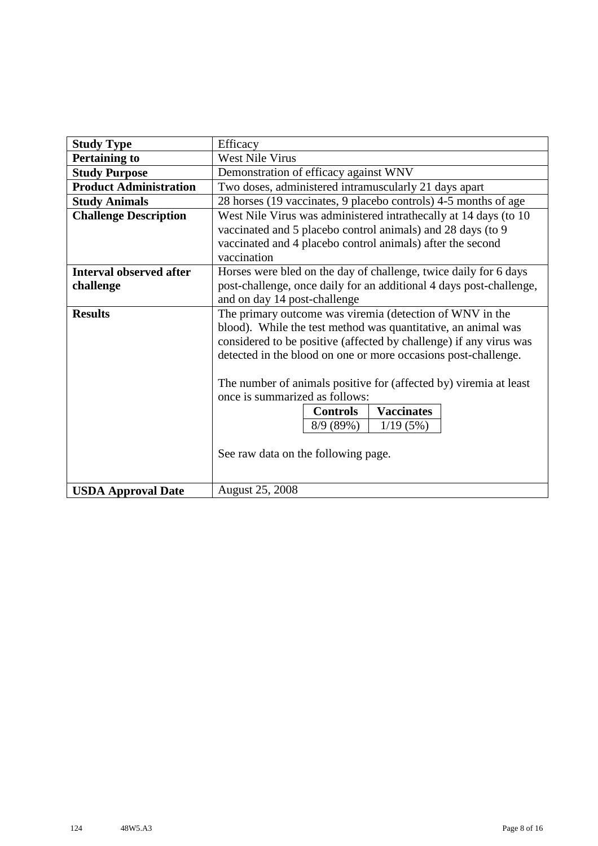| <b>Study Type</b>              | Efficacy                                                                                            |
|--------------------------------|-----------------------------------------------------------------------------------------------------|
| <b>Pertaining to</b>           | <b>West Nile Virus</b>                                                                              |
| <b>Study Purpose</b>           | Demonstration of efficacy against WNV                                                               |
| <b>Product Administration</b>  | Two doses, administered intramuscularly 21 days apart                                               |
| <b>Study Animals</b>           | 28 horses (19 vaccinates, 9 placebo controls) 4-5 months of age                                     |
| <b>Challenge Description</b>   | West Nile Virus was administered intrathecally at 14 days (to 10                                    |
|                                | vaccinated and 5 placebo control animals) and 28 days (to 9                                         |
|                                | vaccinated and 4 placebo control animals) after the second                                          |
|                                | vaccination                                                                                         |
| <b>Interval observed after</b> | Horses were bled on the day of challenge, twice daily for 6 days                                    |
| challenge                      | post-challenge, once daily for an additional 4 days post-challenge,                                 |
|                                | and on day 14 post-challenge                                                                        |
| <b>Results</b>                 | The primary outcome was viremia (detection of WNV in the                                            |
|                                | blood). While the test method was quantitative, an animal was                                       |
|                                | considered to be positive (affected by challenge) if any virus was                                  |
|                                | detected in the blood on one or more occasions post-challenge.                                      |
|                                |                                                                                                     |
|                                | The number of animals positive for (affected by) viremia at least<br>once is summarized as follows: |
|                                |                                                                                                     |
|                                | <b>Vaccinates</b><br><b>Controls</b>                                                                |
|                                | 1/19(5%)<br>8/9(89%)                                                                                |
|                                |                                                                                                     |
|                                | See raw data on the following page.                                                                 |
|                                |                                                                                                     |
| <b>USDA Approval Date</b>      | <b>August 25, 2008</b>                                                                              |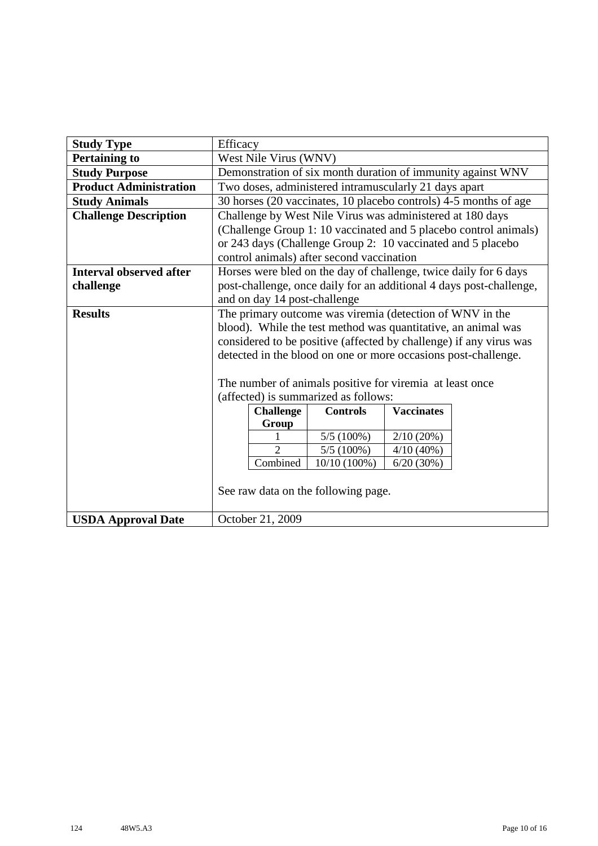| <b>Study Type</b>              | Efficacy |                              |                                                                |                   |                                                                     |
|--------------------------------|----------|------------------------------|----------------------------------------------------------------|-------------------|---------------------------------------------------------------------|
| <b>Pertaining to</b>           |          | West Nile Virus (WNV)        |                                                                |                   |                                                                     |
| <b>Study Purpose</b>           |          |                              |                                                                |                   | Demonstration of six month duration of immunity against WNV         |
| <b>Product Administration</b>  |          |                              | Two doses, administered intramuscularly 21 days apart          |                   |                                                                     |
| <b>Study Animals</b>           |          |                              |                                                                |                   | 30 horses (20 vaccinates, 10 placebo controls) 4-5 months of age    |
| <b>Challenge Description</b>   |          |                              | Challenge by West Nile Virus was administered at 180 days      |                   |                                                                     |
|                                |          |                              |                                                                |                   | (Challenge Group 1: 10 vaccinated and 5 placebo control animals)    |
|                                |          |                              | or 243 days (Challenge Group 2: 10 vaccinated and 5 placebo    |                   |                                                                     |
|                                |          |                              | control animals) after second vaccination                      |                   |                                                                     |
| <b>Interval observed after</b> |          |                              |                                                                |                   | Horses were bled on the day of challenge, twice daily for 6 days    |
| challenge                      |          |                              |                                                                |                   | post-challenge, once daily for an additional 4 days post-challenge, |
|                                |          | and on day 14 post-challenge |                                                                |                   |                                                                     |
| <b>Results</b>                 |          |                              | The primary outcome was viremia (detection of WNV in the       |                   |                                                                     |
|                                |          |                              | blood). While the test method was quantitative, an animal was  |                   |                                                                     |
|                                |          |                              |                                                                |                   | considered to be positive (affected by challenge) if any virus was  |
|                                |          |                              | detected in the blood on one or more occasions post-challenge. |                   |                                                                     |
|                                |          |                              |                                                                |                   |                                                                     |
|                                |          |                              | The number of animals positive for viremia at least once       |                   |                                                                     |
|                                |          |                              | (affected) is summarized as follows:                           |                   |                                                                     |
|                                |          | <b>Challenge</b>             | <b>Controls</b>                                                | <b>Vaccinates</b> |                                                                     |
|                                |          | Group                        |                                                                |                   |                                                                     |
|                                |          | $\overline{2}$               | $5/5(100\%)$                                                   | 2/10(20%)         |                                                                     |
|                                |          |                              | $5/5(100\%)$                                                   | $4/10(40\%)$      |                                                                     |
|                                |          | Combined                     | $10/10(100\%)$                                                 | 6/20(30%)         |                                                                     |
|                                |          |                              |                                                                |                   |                                                                     |
|                                |          |                              | See raw data on the following page.                            |                   |                                                                     |
|                                |          |                              |                                                                |                   |                                                                     |
| <b>USDA Approval Date</b>      |          | October 21, 2009             |                                                                |                   |                                                                     |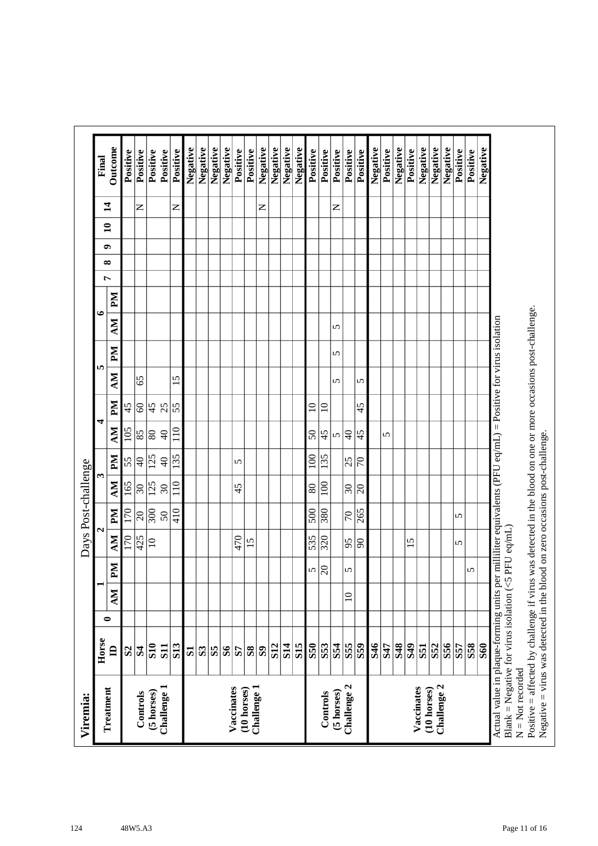| Outcome<br>Negative<br>Negative<br>Negative<br>Negative<br>Negative<br>Negative<br>Negative<br>Negative<br>Negative<br>Negative<br>Negative<br>Negative<br>Negative<br>Negative<br>Positive<br>Positive<br>Positive<br>Positive<br>Positive<br>Positive<br>Positive<br>Positive<br>Positive<br>Positive<br>Positive<br>Positive<br>Positive<br>Positive<br>Positive<br>Positive<br>Final<br>$\sharp$<br>$\mathsf{z}$<br>z<br>z<br>z<br>$\mathbf{a}$<br>๑<br>∞<br>Ļ<br>$\mathbb{N}$<br>७<br>NИ<br>5<br>PМ<br>5<br>In.<br>MУ<br>65<br>15<br>5<br>5<br>Md<br>$\pmb{\mathcal{S}}$<br>45<br>25<br>45<br>$\overline{55}$<br>$\Xi$<br>$\overline{10}$<br>45<br>4<br>105<br>NИ<br>110<br>85<br>$\overline{80}$<br> ੩<br>$\Theta$<br>$50\,$<br>45<br>45<br>ທ∣<br>5<br>Md<br>100<br>$\overline{125}$<br>135<br>135<br>$\overline{4}$<br>55<br>$\Theta$<br>25<br>$ \varepsilon$<br>5<br>S<br>NИ<br>165<br>125<br>110<br>100<br>30<br>$\overline{\mathcal{E}}$<br>$\overline{\mathcal{E}}$<br>45<br>80<br>$ \mathcal{S} $<br>Md<br>300<br>500<br>170<br>410<br>380<br>265<br>$\overline{c}$<br>$\overline{70}$<br>$50\,$<br>5<br>4<br>MV<br>170<br>425<br>470<br>535<br>$\overline{320}$<br>$\overline{10}$<br>15<br>95<br>$ \mathcal{S} $<br>15<br>5<br>NЧ<br>$ \mathcal{S} $<br>5<br>5<br>5<br>MV<br>$\supseteq$<br>0<br>Horse<br><b>S14</b><br>S <sub>55</sub><br>846<br><b>S58</b><br>S <sub>10</sub><br><b>S12</b><br>S <sub>15</sub><br><b>S50</b><br>S53<br>S54<br>$\overline{\textbf{S}}$<br><b>S48</b><br>S <sub>49</sub><br><b>S52</b><br>S56<br><b>S60</b><br><b>S13</b><br>$\overline{\textbf{S}}$<br>S47<br>S57<br><b>S11</b><br>$\blacksquare$<br>$\mathbf{S}$<br>$\mathbf{S}$<br>$\mathbf{S}$<br>$\mathbf{S}$<br>$\mathbf{R}$<br>S <sub>3</sub><br>$\mathbf{S}$<br>57<br>$\mathbf{S}$ | milliliter equivalents (PFU eq/mL) = Positive for virus isolation<br>PFU eq/mL) | Positive = affected by challenge if virus was detected in the blood on one or more occasions post-challenge.<br>Actual value in plaque-forming units per<br>Blank = Negative for virus isolation ( $5$<br>$N = Not$ recorded<br>Challenge 2<br>Challenge 2<br>Vaccinates<br>Challenge 1<br>Vaccinates<br>Challenge 1<br>(10 horses)<br>(10 horses)<br>(5 horses)<br>(5 horses)<br>Controls<br>Controls | Treatment |  |  | Days Post-challenge |  |  |  |  |  |  |  |
|------------------------------------------------------------------------------------------------------------------------------------------------------------------------------------------------------------------------------------------------------------------------------------------------------------------------------------------------------------------------------------------------------------------------------------------------------------------------------------------------------------------------------------------------------------------------------------------------------------------------------------------------------------------------------------------------------------------------------------------------------------------------------------------------------------------------------------------------------------------------------------------------------------------------------------------------------------------------------------------------------------------------------------------------------------------------------------------------------------------------------------------------------------------------------------------------------------------------------------------------------------------------------------------------------------------------------------------------------------------------------------------------------------------------------------------------------------------------------------------------------------------------------------------------------------------------------------------------------------------------------------------------------------------------------------------------------------------------------------------------------------------------------------------|---------------------------------------------------------------------------------|--------------------------------------------------------------------------------------------------------------------------------------------------------------------------------------------------------------------------------------------------------------------------------------------------------------------------------------------------------------------------------------------------------|-----------|--|--|---------------------|--|--|--|--|--|--|--|
|                                                                                                                                                                                                                                                                                                                                                                                                                                                                                                                                                                                                                                                                                                                                                                                                                                                                                                                                                                                                                                                                                                                                                                                                                                                                                                                                                                                                                                                                                                                                                                                                                                                                                                                                                                                          |                                                                                 |                                                                                                                                                                                                                                                                                                                                                                                                        |           |  |  |                     |  |  |  |  |  |  |  |
|                                                                                                                                                                                                                                                                                                                                                                                                                                                                                                                                                                                                                                                                                                                                                                                                                                                                                                                                                                                                                                                                                                                                                                                                                                                                                                                                                                                                                                                                                                                                                                                                                                                                                                                                                                                          |                                                                                 |                                                                                                                                                                                                                                                                                                                                                                                                        |           |  |  |                     |  |  |  |  |  |  |  |
|                                                                                                                                                                                                                                                                                                                                                                                                                                                                                                                                                                                                                                                                                                                                                                                                                                                                                                                                                                                                                                                                                                                                                                                                                                                                                                                                                                                                                                                                                                                                                                                                                                                                                                                                                                                          |                                                                                 |                                                                                                                                                                                                                                                                                                                                                                                                        |           |  |  |                     |  |  |  |  |  |  |  |
|                                                                                                                                                                                                                                                                                                                                                                                                                                                                                                                                                                                                                                                                                                                                                                                                                                                                                                                                                                                                                                                                                                                                                                                                                                                                                                                                                                                                                                                                                                                                                                                                                                                                                                                                                                                          |                                                                                 |                                                                                                                                                                                                                                                                                                                                                                                                        |           |  |  |                     |  |  |  |  |  |  |  |
|                                                                                                                                                                                                                                                                                                                                                                                                                                                                                                                                                                                                                                                                                                                                                                                                                                                                                                                                                                                                                                                                                                                                                                                                                                                                                                                                                                                                                                                                                                                                                                                                                                                                                                                                                                                          |                                                                                 |                                                                                                                                                                                                                                                                                                                                                                                                        |           |  |  |                     |  |  |  |  |  |  |  |
|                                                                                                                                                                                                                                                                                                                                                                                                                                                                                                                                                                                                                                                                                                                                                                                                                                                                                                                                                                                                                                                                                                                                                                                                                                                                                                                                                                                                                                                                                                                                                                                                                                                                                                                                                                                          |                                                                                 |                                                                                                                                                                                                                                                                                                                                                                                                        |           |  |  |                     |  |  |  |  |  |  |  |
|                                                                                                                                                                                                                                                                                                                                                                                                                                                                                                                                                                                                                                                                                                                                                                                                                                                                                                                                                                                                                                                                                                                                                                                                                                                                                                                                                                                                                                                                                                                                                                                                                                                                                                                                                                                          |                                                                                 |                                                                                                                                                                                                                                                                                                                                                                                                        |           |  |  |                     |  |  |  |  |  |  |  |
|                                                                                                                                                                                                                                                                                                                                                                                                                                                                                                                                                                                                                                                                                                                                                                                                                                                                                                                                                                                                                                                                                                                                                                                                                                                                                                                                                                                                                                                                                                                                                                                                                                                                                                                                                                                          |                                                                                 |                                                                                                                                                                                                                                                                                                                                                                                                        |           |  |  |                     |  |  |  |  |  |  |  |
|                                                                                                                                                                                                                                                                                                                                                                                                                                                                                                                                                                                                                                                                                                                                                                                                                                                                                                                                                                                                                                                                                                                                                                                                                                                                                                                                                                                                                                                                                                                                                                                                                                                                                                                                                                                          |                                                                                 |                                                                                                                                                                                                                                                                                                                                                                                                        |           |  |  |                     |  |  |  |  |  |  |  |
|                                                                                                                                                                                                                                                                                                                                                                                                                                                                                                                                                                                                                                                                                                                                                                                                                                                                                                                                                                                                                                                                                                                                                                                                                                                                                                                                                                                                                                                                                                                                                                                                                                                                                                                                                                                          |                                                                                 |                                                                                                                                                                                                                                                                                                                                                                                                        |           |  |  |                     |  |  |  |  |  |  |  |
|                                                                                                                                                                                                                                                                                                                                                                                                                                                                                                                                                                                                                                                                                                                                                                                                                                                                                                                                                                                                                                                                                                                                                                                                                                                                                                                                                                                                                                                                                                                                                                                                                                                                                                                                                                                          |                                                                                 |                                                                                                                                                                                                                                                                                                                                                                                                        |           |  |  |                     |  |  |  |  |  |  |  |
|                                                                                                                                                                                                                                                                                                                                                                                                                                                                                                                                                                                                                                                                                                                                                                                                                                                                                                                                                                                                                                                                                                                                                                                                                                                                                                                                                                                                                                                                                                                                                                                                                                                                                                                                                                                          |                                                                                 |                                                                                                                                                                                                                                                                                                                                                                                                        |           |  |  |                     |  |  |  |  |  |  |  |
|                                                                                                                                                                                                                                                                                                                                                                                                                                                                                                                                                                                                                                                                                                                                                                                                                                                                                                                                                                                                                                                                                                                                                                                                                                                                                                                                                                                                                                                                                                                                                                                                                                                                                                                                                                                          |                                                                                 |                                                                                                                                                                                                                                                                                                                                                                                                        |           |  |  |                     |  |  |  |  |  |  |  |
|                                                                                                                                                                                                                                                                                                                                                                                                                                                                                                                                                                                                                                                                                                                                                                                                                                                                                                                                                                                                                                                                                                                                                                                                                                                                                                                                                                                                                                                                                                                                                                                                                                                                                                                                                                                          |                                                                                 |                                                                                                                                                                                                                                                                                                                                                                                                        |           |  |  |                     |  |  |  |  |  |  |  |
|                                                                                                                                                                                                                                                                                                                                                                                                                                                                                                                                                                                                                                                                                                                                                                                                                                                                                                                                                                                                                                                                                                                                                                                                                                                                                                                                                                                                                                                                                                                                                                                                                                                                                                                                                                                          |                                                                                 |                                                                                                                                                                                                                                                                                                                                                                                                        |           |  |  |                     |  |  |  |  |  |  |  |
|                                                                                                                                                                                                                                                                                                                                                                                                                                                                                                                                                                                                                                                                                                                                                                                                                                                                                                                                                                                                                                                                                                                                                                                                                                                                                                                                                                                                                                                                                                                                                                                                                                                                                                                                                                                          |                                                                                 |                                                                                                                                                                                                                                                                                                                                                                                                        |           |  |  |                     |  |  |  |  |  |  |  |
|                                                                                                                                                                                                                                                                                                                                                                                                                                                                                                                                                                                                                                                                                                                                                                                                                                                                                                                                                                                                                                                                                                                                                                                                                                                                                                                                                                                                                                                                                                                                                                                                                                                                                                                                                                                          |                                                                                 |                                                                                                                                                                                                                                                                                                                                                                                                        |           |  |  |                     |  |  |  |  |  |  |  |
|                                                                                                                                                                                                                                                                                                                                                                                                                                                                                                                                                                                                                                                                                                                                                                                                                                                                                                                                                                                                                                                                                                                                                                                                                                                                                                                                                                                                                                                                                                                                                                                                                                                                                                                                                                                          |                                                                                 |                                                                                                                                                                                                                                                                                                                                                                                                        |           |  |  |                     |  |  |  |  |  |  |  |
|                                                                                                                                                                                                                                                                                                                                                                                                                                                                                                                                                                                                                                                                                                                                                                                                                                                                                                                                                                                                                                                                                                                                                                                                                                                                                                                                                                                                                                                                                                                                                                                                                                                                                                                                                                                          |                                                                                 |                                                                                                                                                                                                                                                                                                                                                                                                        |           |  |  |                     |  |  |  |  |  |  |  |
|                                                                                                                                                                                                                                                                                                                                                                                                                                                                                                                                                                                                                                                                                                                                                                                                                                                                                                                                                                                                                                                                                                                                                                                                                                                                                                                                                                                                                                                                                                                                                                                                                                                                                                                                                                                          |                                                                                 |                                                                                                                                                                                                                                                                                                                                                                                                        |           |  |  |                     |  |  |  |  |  |  |  |
|                                                                                                                                                                                                                                                                                                                                                                                                                                                                                                                                                                                                                                                                                                                                                                                                                                                                                                                                                                                                                                                                                                                                                                                                                                                                                                                                                                                                                                                                                                                                                                                                                                                                                                                                                                                          |                                                                                 |                                                                                                                                                                                                                                                                                                                                                                                                        |           |  |  |                     |  |  |  |  |  |  |  |
|                                                                                                                                                                                                                                                                                                                                                                                                                                                                                                                                                                                                                                                                                                                                                                                                                                                                                                                                                                                                                                                                                                                                                                                                                                                                                                                                                                                                                                                                                                                                                                                                                                                                                                                                                                                          |                                                                                 |                                                                                                                                                                                                                                                                                                                                                                                                        |           |  |  |                     |  |  |  |  |  |  |  |
|                                                                                                                                                                                                                                                                                                                                                                                                                                                                                                                                                                                                                                                                                                                                                                                                                                                                                                                                                                                                                                                                                                                                                                                                                                                                                                                                                                                                                                                                                                                                                                                                                                                                                                                                                                                          |                                                                                 |                                                                                                                                                                                                                                                                                                                                                                                                        |           |  |  |                     |  |  |  |  |  |  |  |
|                                                                                                                                                                                                                                                                                                                                                                                                                                                                                                                                                                                                                                                                                                                                                                                                                                                                                                                                                                                                                                                                                                                                                                                                                                                                                                                                                                                                                                                                                                                                                                                                                                                                                                                                                                                          |                                                                                 |                                                                                                                                                                                                                                                                                                                                                                                                        |           |  |  |                     |  |  |  |  |  |  |  |
|                                                                                                                                                                                                                                                                                                                                                                                                                                                                                                                                                                                                                                                                                                                                                                                                                                                                                                                                                                                                                                                                                                                                                                                                                                                                                                                                                                                                                                                                                                                                                                                                                                                                                                                                                                                          |                                                                                 |                                                                                                                                                                                                                                                                                                                                                                                                        |           |  |  |                     |  |  |  |  |  |  |  |
|                                                                                                                                                                                                                                                                                                                                                                                                                                                                                                                                                                                                                                                                                                                                                                                                                                                                                                                                                                                                                                                                                                                                                                                                                                                                                                                                                                                                                                                                                                                                                                                                                                                                                                                                                                                          |                                                                                 |                                                                                                                                                                                                                                                                                                                                                                                                        |           |  |  |                     |  |  |  |  |  |  |  |
|                                                                                                                                                                                                                                                                                                                                                                                                                                                                                                                                                                                                                                                                                                                                                                                                                                                                                                                                                                                                                                                                                                                                                                                                                                                                                                                                                                                                                                                                                                                                                                                                                                                                                                                                                                                          |                                                                                 |                                                                                                                                                                                                                                                                                                                                                                                                        |           |  |  |                     |  |  |  |  |  |  |  |
|                                                                                                                                                                                                                                                                                                                                                                                                                                                                                                                                                                                                                                                                                                                                                                                                                                                                                                                                                                                                                                                                                                                                                                                                                                                                                                                                                                                                                                                                                                                                                                                                                                                                                                                                                                                          |                                                                                 |                                                                                                                                                                                                                                                                                                                                                                                                        |           |  |  |                     |  |  |  |  |  |  |  |
|                                                                                                                                                                                                                                                                                                                                                                                                                                                                                                                                                                                                                                                                                                                                                                                                                                                                                                                                                                                                                                                                                                                                                                                                                                                                                                                                                                                                                                                                                                                                                                                                                                                                                                                                                                                          |                                                                                 |                                                                                                                                                                                                                                                                                                                                                                                                        |           |  |  |                     |  |  |  |  |  |  |  |
|                                                                                                                                                                                                                                                                                                                                                                                                                                                                                                                                                                                                                                                                                                                                                                                                                                                                                                                                                                                                                                                                                                                                                                                                                                                                                                                                                                                                                                                                                                                                                                                                                                                                                                                                                                                          |                                                                                 |                                                                                                                                                                                                                                                                                                                                                                                                        |           |  |  |                     |  |  |  |  |  |  |  |
|                                                                                                                                                                                                                                                                                                                                                                                                                                                                                                                                                                                                                                                                                                                                                                                                                                                                                                                                                                                                                                                                                                                                                                                                                                                                                                                                                                                                                                                                                                                                                                                                                                                                                                                                                                                          |                                                                                 |                                                                                                                                                                                                                                                                                                                                                                                                        |           |  |  |                     |  |  |  |  |  |  |  |
|                                                                                                                                                                                                                                                                                                                                                                                                                                                                                                                                                                                                                                                                                                                                                                                                                                                                                                                                                                                                                                                                                                                                                                                                                                                                                                                                                                                                                                                                                                                                                                                                                                                                                                                                                                                          |                                                                                 |                                                                                                                                                                                                                                                                                                                                                                                                        |           |  |  |                     |  |  |  |  |  |  |  |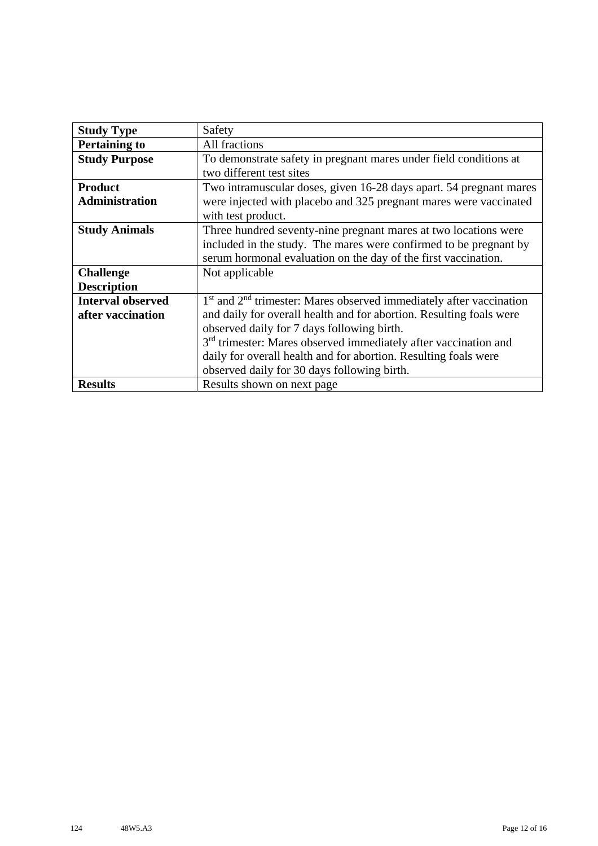| <b>Study Type</b>        | Safety                                                                      |
|--------------------------|-----------------------------------------------------------------------------|
| <b>Pertaining to</b>     | All fractions                                                               |
| <b>Study Purpose</b>     | To demonstrate safety in pregnant mares under field conditions at           |
|                          | two different test sites                                                    |
| <b>Product</b>           | Two intramuscular doses, given 16-28 days apart. 54 pregnant mares          |
| <b>Administration</b>    | were injected with placebo and 325 pregnant mares were vaccinated           |
|                          | with test product.                                                          |
| <b>Study Animals</b>     | Three hundred seventy-nine pregnant mares at two locations were             |
|                          | included in the study. The mares were confirmed to be pregnant by           |
|                          | serum hormonal evaluation on the day of the first vaccination.              |
| <b>Challenge</b>         | Not applicable                                                              |
| <b>Description</b>       |                                                                             |
| <b>Interval observed</b> | $1st$ and $2nd$ trimester: Mares observed immediately after vaccination     |
| after vaccination        | and daily for overall health and for abortion. Resulting foals were         |
|                          | observed daily for 7 days following birth.                                  |
|                          | 3 <sup>rd</sup> trimester: Mares observed immediately after vaccination and |
|                          | daily for overall health and for abortion. Resulting foals were             |
|                          | observed daily for 30 days following birth.                                 |
| <b>Results</b>           | Results shown on next page                                                  |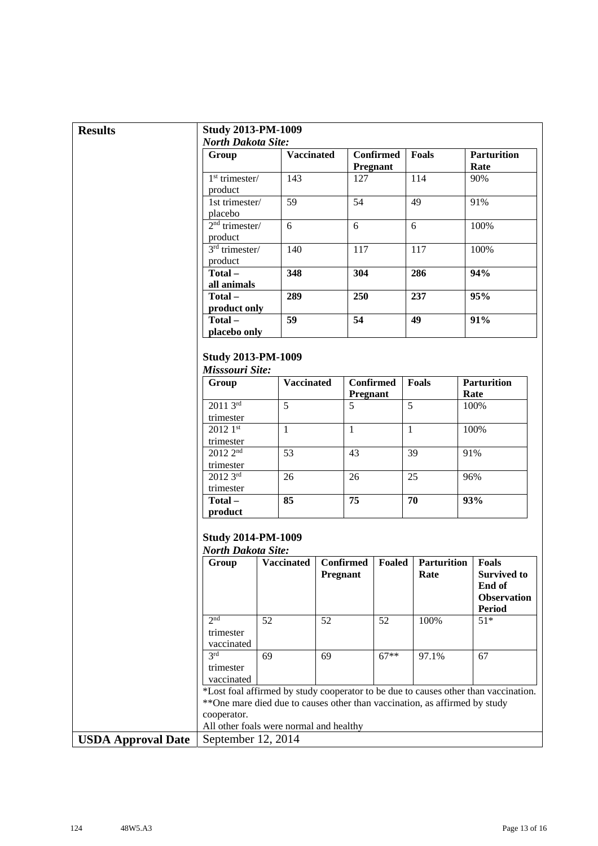| <b>Results</b>            | <b>Study 2013-PM-1009</b>                              |                                                                             |          |                              |                                     |                            |                                                                                     |
|---------------------------|--------------------------------------------------------|-----------------------------------------------------------------------------|----------|------------------------------|-------------------------------------|----------------------------|-------------------------------------------------------------------------------------|
|                           | <b>North Dakota Site:</b>                              |                                                                             |          |                              |                                     |                            |                                                                                     |
|                           | Group                                                  | <b>Vaccinated</b>                                                           |          |                              | <b>Confirmed</b><br><b>Pregnant</b> | Foals                      | <b>Parturition</b><br>Rate                                                          |
|                           | $1st$ trimester/<br>product                            | 143                                                                         |          | 127                          |                                     | 114                        | 90%                                                                                 |
|                           | 1st trimester/<br>placebo                              | 59                                                                          |          | 54                           |                                     | 49                         | 91%                                                                                 |
|                           | $2nd$ trimester/<br>product                            | 6                                                                           |          | 6                            |                                     | 6                          | 100%                                                                                |
|                           | $3rd$ trimester/<br>product                            | 140                                                                         |          | 117                          |                                     | 117                        | 100%                                                                                |
|                           | Total-<br>all animals                                  | 348                                                                         |          | 304                          |                                     | 286                        | 94%                                                                                 |
|                           | Total-                                                 | 289                                                                         |          | 250                          |                                     | 237                        | 95%                                                                                 |
|                           | product only<br>Total-                                 | 59                                                                          |          | 54                           |                                     | 49                         | 91%                                                                                 |
|                           | placebo only                                           |                                                                             |          |                              |                                     |                            |                                                                                     |
|                           | <b>Study 2013-PM-1009</b><br>Misssouri Site:           |                                                                             |          |                              |                                     |                            |                                                                                     |
|                           | Group                                                  | <b>Vaccinated</b>                                                           |          | <b>Confirmed</b><br>Pregnant |                                     | <b>Foals</b>               | <b>Parturition</b><br>Rate                                                          |
|                           | $20113^{rd}$<br>trimester                              | 5                                                                           |          | 5                            |                                     | 5                          | 100%                                                                                |
|                           | $20121$ st<br>trimester                                | $\mathbf{1}$                                                                |          | $\mathbf{1}$                 |                                     | $\mathbf{1}$               | 100%                                                                                |
|                           | 2012 2 <sup>nd</sup><br>trimester                      | $\overline{53}$                                                             |          | 43                           |                                     | 39                         | 91%                                                                                 |
|                           | 2012 3rd                                               | 26                                                                          |          | 26                           |                                     | 25                         | 96%                                                                                 |
|                           | trimester<br>Total-<br>product                         | 85                                                                          |          | 75                           |                                     | 70                         | 93%                                                                                 |
|                           | <b>Study 2014-PM-1009</b><br><b>North Dakota Site:</b> |                                                                             |          |                              |                                     |                            |                                                                                     |
|                           | Group                                                  | <b>Vaccinated</b>                                                           | Pregnant | <b>Confirmed</b>             | Foaled                              | <b>Parturition</b><br>Rate | <b>Foals</b><br><b>Survived to</b><br>End of<br><b>Observation</b><br><b>Period</b> |
|                           | 2 <sub>nd</sub><br>trimester                           | 52                                                                          | 52       |                              | 52                                  | 100%                       | $51*$                                                                               |
|                           | vaccinated<br>3rd<br>trimester<br>vaccinated           | 69                                                                          | 69       |                              | $67**$                              | 97.1%                      | 67                                                                                  |
|                           | cooperator.                                            | ** One mare died due to causes other than vaccination, as affirmed by study |          |                              |                                     |                            | *Lost foal affirmed by study cooperator to be due to causes other than vaccination. |
|                           |                                                        | All other foals were normal and healthy                                     |          |                              |                                     |                            |                                                                                     |
| <b>USDA Approval Date</b> | September 12, 2014                                     |                                                                             |          |                              |                                     |                            |                                                                                     |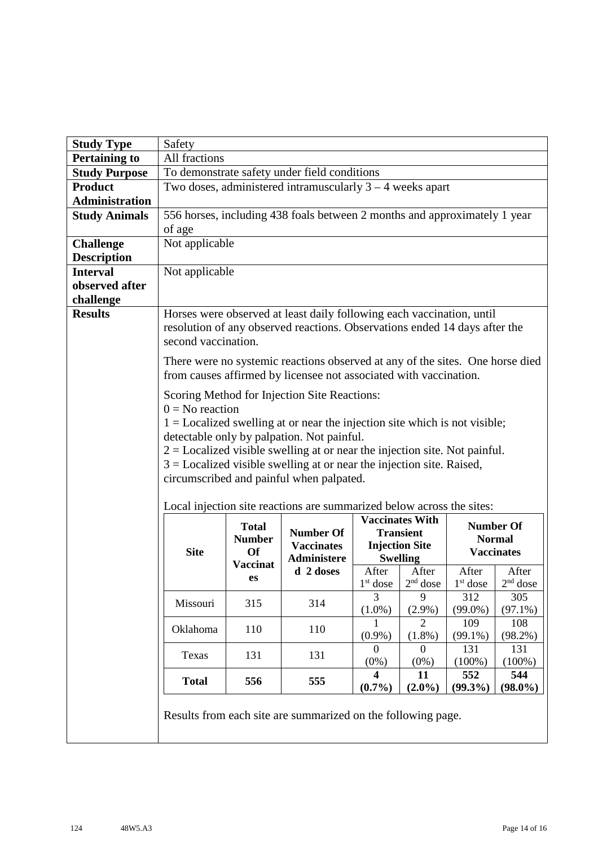| <b>Study Type</b>     | Safety              |                                                               |                                                                                                                                                                                                                                                                                                                                                                                   |                                      |                                                              |                   |                                                        |
|-----------------------|---------------------|---------------------------------------------------------------|-----------------------------------------------------------------------------------------------------------------------------------------------------------------------------------------------------------------------------------------------------------------------------------------------------------------------------------------------------------------------------------|--------------------------------------|--------------------------------------------------------------|-------------------|--------------------------------------------------------|
| <b>Pertaining to</b>  | All fractions       |                                                               |                                                                                                                                                                                                                                                                                                                                                                                   |                                      |                                                              |                   |                                                        |
| <b>Study Purpose</b>  |                     |                                                               | To demonstrate safety under field conditions                                                                                                                                                                                                                                                                                                                                      |                                      |                                                              |                   |                                                        |
| <b>Product</b>        |                     |                                                               | Two doses, administered intramuscularly $3 - 4$ weeks apart                                                                                                                                                                                                                                                                                                                       |                                      |                                                              |                   |                                                        |
| <b>Administration</b> |                     |                                                               |                                                                                                                                                                                                                                                                                                                                                                                   |                                      |                                                              |                   |                                                        |
| <b>Study Animals</b>  |                     |                                                               | 556 horses, including 438 foals between 2 months and approximately 1 year                                                                                                                                                                                                                                                                                                         |                                      |                                                              |                   |                                                        |
|                       | of age              |                                                               |                                                                                                                                                                                                                                                                                                                                                                                   |                                      |                                                              |                   |                                                        |
| <b>Challenge</b>      | Not applicable      |                                                               |                                                                                                                                                                                                                                                                                                                                                                                   |                                      |                                                              |                   |                                                        |
| <b>Description</b>    |                     |                                                               |                                                                                                                                                                                                                                                                                                                                                                                   |                                      |                                                              |                   |                                                        |
| <b>Interval</b>       | Not applicable      |                                                               |                                                                                                                                                                                                                                                                                                                                                                                   |                                      |                                                              |                   |                                                        |
| observed after        |                     |                                                               |                                                                                                                                                                                                                                                                                                                                                                                   |                                      |                                                              |                   |                                                        |
| challenge             |                     |                                                               |                                                                                                                                                                                                                                                                                                                                                                                   |                                      |                                                              |                   |                                                        |
| <b>Results</b>        | second vaccination. |                                                               | Horses were observed at least daily following each vaccination, until<br>resolution of any observed reactions. Observations ended 14 days after the                                                                                                                                                                                                                               |                                      |                                                              |                   |                                                        |
|                       |                     |                                                               | There were no systemic reactions observed at any of the sites. One horse died<br>from causes affirmed by licensee not associated with vaccination.                                                                                                                                                                                                                                |                                      |                                                              |                   |                                                        |
|                       | $0 = No$ reaction   |                                                               | Scoring Method for Injection Site Reactions:<br>$1 =$ Localized swelling at or near the injection site which is not visible;<br>detectable only by palpation. Not painful.<br>$2 =$ Localized visible swelling at or near the injection site. Not painful.<br>$3 =$ Localized visible swelling at or near the injection site. Raised,<br>circumscribed and painful when palpated. |                                      |                                                              |                   |                                                        |
|                       |                     |                                                               | Local injection site reactions are summarized below across the sites:                                                                                                                                                                                                                                                                                                             |                                      | <b>Vaccinates With</b>                                       |                   |                                                        |
|                       | <b>Site</b>         | <b>Total</b><br><b>Number</b><br><b>Of</b><br><b>Vaccinat</b> | <b>Number Of</b><br><b>Vaccinates</b><br><b>Administere</b>                                                                                                                                                                                                                                                                                                                       |                                      | <b>Transient</b><br><b>Injection Site</b><br><b>Swelling</b> |                   | <b>Number Of</b><br><b>Normal</b><br><b>Vaccinates</b> |
|                       |                     | es                                                            | d 2 doses                                                                                                                                                                                                                                                                                                                                                                         | After                                | After                                                        | After             | After                                                  |
|                       |                     |                                                               |                                                                                                                                                                                                                                                                                                                                                                                   | 3                                    | $1st$ dose $2nd$ dose<br>9                                   | $1st$ dose<br>312 | $2nd$ dose<br>305                                      |
|                       | Missouri            | 315                                                           | 314                                                                                                                                                                                                                                                                                                                                                                               | $(1.0\%)$                            | $(2.9\%)$                                                    | $(99.0\%)$        | $(97.1\%)$                                             |
|                       |                     |                                                               |                                                                                                                                                                                                                                                                                                                                                                                   |                                      | $\overline{2}$                                               | 109               | 108                                                    |
|                       | Oklahoma            | 110                                                           | 110                                                                                                                                                                                                                                                                                                                                                                               | $(0.9\%)$                            | $(1.8\%)$                                                    | $(99.1\%)$        | $(98.2\%)$                                             |
|                       | Texas               | 131                                                           | 131                                                                                                                                                                                                                                                                                                                                                                               | $\Omega$<br>$(0\%)$                  | $\boldsymbol{0}$<br>$(0\%)$                                  | 131<br>$(100\%)$  | 131<br>$(100\%)$                                       |
|                       | <b>Total</b>        | 556                                                           | 555                                                                                                                                                                                                                                                                                                                                                                               | $\overline{\mathbf{4}}$<br>$(0.7\%)$ | 11<br>$(2.0\%)$                                              | 552<br>$(99.3\%)$ | 544<br>$(98.0\%)$                                      |
|                       |                     |                                                               | Results from each site are summarized on the following page.                                                                                                                                                                                                                                                                                                                      |                                      |                                                              |                   |                                                        |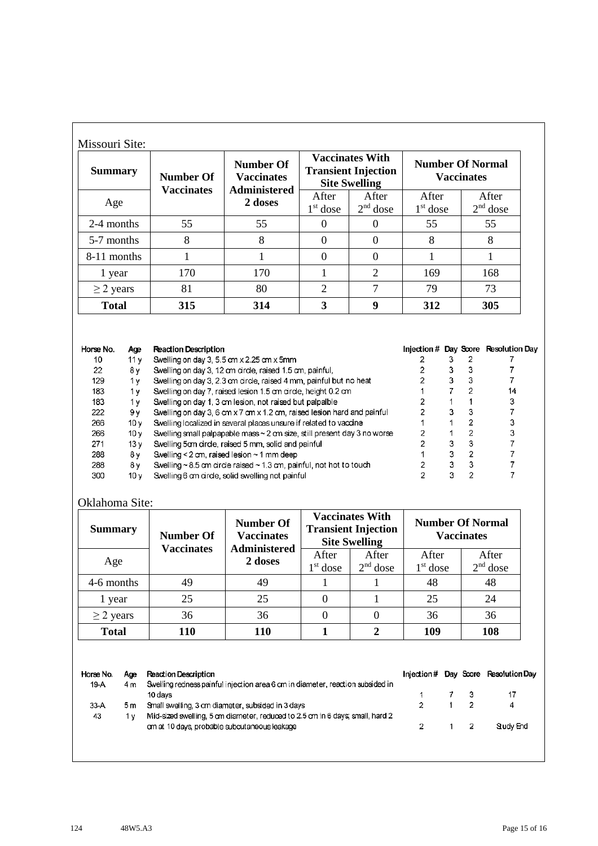| <b>Summary</b> | <b>Number Of</b>  | <b>Number Of</b><br><b>Vaccinates</b> |                     | <b>Vaccinates With</b><br><b>Transient Injection</b><br><b>Site Swelling</b> | <b>Number Of Normal</b><br><b>Vaccinates</b> |                     |  |
|----------------|-------------------|---------------------------------------|---------------------|------------------------------------------------------------------------------|----------------------------------------------|---------------------|--|
| Age            | <b>Vaccinates</b> | <b>Administered</b><br>2 doses        | After<br>$1st$ dose | After<br>$2nd$ dose                                                          | After<br>$1st$ dose                          | After<br>$2nd$ dose |  |
| 2-4 months     | 55                | 55                                    | $\Omega$            |                                                                              | 55                                           | 55                  |  |
| 5-7 months     | 8                 | 8                                     | $\theta$            | $\Omega$                                                                     | 8                                            | 8                   |  |
| 8-11 months    |                   |                                       | $\Omega$            | $\Omega$                                                                     |                                              |                     |  |
| 1 year         | 170               | 170                                   | -1                  | $\overline{2}$                                                               | 169                                          | 168                 |  |
| $\geq$ 2 years | 81                | 80                                    | 2                   | $\tau$                                                                       | 79                                           | 73                  |  |
| <b>Total</b>   | 315               | 314                                   | 3                   | 9                                                                            | 312                                          | 305                 |  |

| Horse No. | Age             | <b>Reaction Description</b>                                                   |   | Injection # Day Score Resolution Day |
|-----------|-----------------|-------------------------------------------------------------------------------|---|--------------------------------------|
| 10        | 11 v            | Swelling on day 3, 5.5 cm x 2.25 cm x 5mm                                     |   |                                      |
| 22        | 8γ              | Swelling on day 3, 12 cm circle, raised 1.5 cm, painful,                      |   |                                      |
| 129       | 1٧              | Swelling on day 3, 2.3 cm circle, raised 4 mm, painful but no heat            |   |                                      |
| 183       | 1 v             | Swelling on day 7, raised lesion 1.5 cm circle, height 0.2 cm                 |   | 14                                   |
| 183       | 1 v             | Swelling on day 1, 3 cm lesion, not raised but palpalble                      |   | 3                                    |
| 222       | 9ν              | Swelling on day 3, 6 cm x 7 cm x 1.2 cm, raised lesion hard and painful       |   |                                      |
| 266       | 10 v            | Swelling localized in several places unsure if related to vaccine             |   |                                      |
| 266       | 10v             | Swelling small palpapable mass $\sim$ 2 cm size, still present day 3 no worse |   |                                      |
| 271       | 13 v            | Swelling 5cm circle, raised 5 mm, solid and painful                           |   |                                      |
| 288       | 8γ              | Swelling < $2$ cm, raised lesion $\sim$ 1 mm deep                             | ٩ |                                      |
| 288       | 8ν              | Swelling $\sim$ 8.5 cm circle raised $\sim$ 1.3 cm, painful, not hot to touch |   |                                      |
| 300       | 10 <sub>V</sub> | Swelling 6 cm circle, solid swelling not painful                              |   |                                      |

## Oklahoma Site:

| <b>Summary</b> | <b>Number Of</b><br><b>Vaccinates</b> | <b>Number Of</b><br><b>Vaccinates</b><br><b>Administered</b> |                     | <b>Vaccinates With</b><br><b>Transient Injection</b><br><b>Site Swelling</b> |                     | <b>Number Of Normal</b><br><b>Vaccinates</b> |
|----------------|---------------------------------------|--------------------------------------------------------------|---------------------|------------------------------------------------------------------------------|---------------------|----------------------------------------------|
| Age            |                                       | 2 doses                                                      | After<br>$1st$ dose | After<br>$2nd$ dose                                                          | After<br>$1st$ dose | After<br>$2nd$ dose                          |
| 4-6 months     | 49                                    | 49                                                           |                     |                                                                              | 48                  | 48                                           |
| 1 year         | 25                                    | 25                                                           |                     |                                                                              | 25                  | 24                                           |
| $\geq$ 2 years | 36                                    | 36                                                           |                     | 0                                                                            | 36                  | 36                                           |
| <b>Total</b>   | 110                                   | 110                                                          |                     |                                                                              | 109                 | 108                                          |

Horse No. Age **Reaction Description** Injection # Day Score Resolution Day Swelling redness painful injection area 6 cm in diameter, reaction subsided in 19-A  $4<sub>m</sub>$ 10 days  $\mathbf 3$  $17$  $\overline{7}$  $\ddot{\text{1}}$  $\mathbf 2$ 33-A  $5m$ Small swelling, 3 cm diameter, subsided in 3 days  $\mathbf 2$  $\mathbf{1}$ 4 Mid-sized swelling, 5 cm diameter, reduced to 2.5 cm in 6 days; small, hard 2 43 1 y Study End  $\mathbf 2$  $\mathbf 2$ cm at 10 days, probable subcutaneous leakage  $\mathbf{1}$